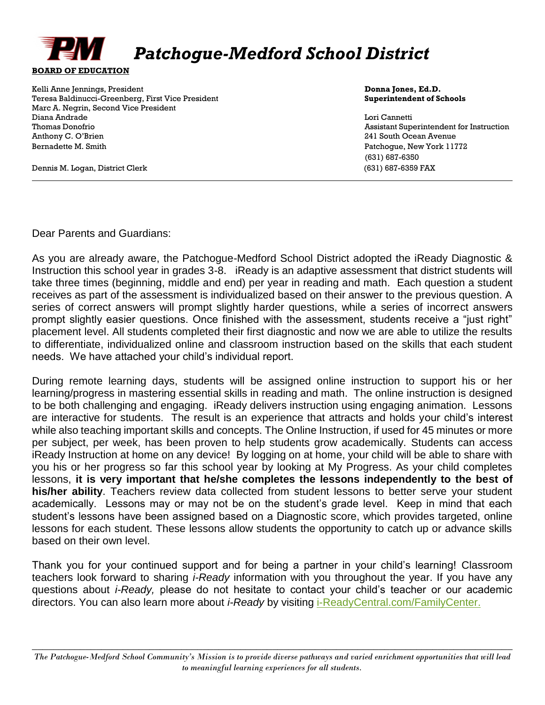

## *Patchogue-Medford School District*

Kelli Anne Jennings, President **Donna Jones, Ed.D. Donna Jones, Ed.D. Donna Jones, Ed.D.** Teresa Baldinucci-Greenberg, First Vice President **Superintendent of Schools** Marc A. Negrin, Second Vice President Diana Andrade Lori Cannetti Thomas Donofrio Assistant Superintendent for Instruction Anthony C. O'Brien 241 South Ocean Avenue Bernadette M. Smith Patchogue, New York 11772

(631) 687-6350

Dennis M. Logan, District Clerk (631) 687-6359 FAX

Dear Parents and Guardians:

As you are already aware, the Patchogue-Medford School District adopted the iReady Diagnostic & Instruction this school year in grades 3-8. iReady is an adaptive assessment that district students will take three times (beginning, middle and end) per year in reading and math. Each question a student receives as part of the assessment is individualized based on their answer to the previous question. A series of correct answers will prompt slightly harder questions, while a series of incorrect answers prompt slightly easier questions. Once finished with the assessment, students receive a "just right" placement level. All students completed their first diagnostic and now we are able to utilize the results to differentiate, individualized online and classroom instruction based on the skills that each student needs. We have attached your child's individual report.

During remote learning days, students will be assigned online instruction to support his or her learning/progress in mastering essential skills in reading and math. The online instruction is designed to be both challenging and engaging. iReady delivers instruction using engaging animation. Lessons are interactive for students. The result is an experience that attracts and holds your child's interest while also teaching important skills and concepts. The Online Instruction, if used for 45 minutes or more per subject, per week, has been proven to help students grow academically. Students can access iReady Instruction at home on any device! By logging on at home, your child will be able to share with you his or her progress so far this school year by looking at My Progress. As your child completes lessons, **it is very important that he/she completes the lessons independently to the best of his/her ability**. Teachers review data collected from student lessons to better serve your student academically. Lessons may or may not be on the student's grade level. Keep in mind that each student's lessons have been assigned based on a Diagnostic score, which provides targeted, online lessons for each student. These lessons allow students the opportunity to catch up or advance skills based on their own level.

Thank you for your continued support and for being a partner in your child's learning! Classroom teachers look forward to sharing *i-Ready* information with you throughout the year. If you have any questions about *i-Ready,* please do not hesitate to contact your child's teacher or our academic directors. You can also learn more about *i-Ready* by visiting [i-ReadyCentral.com/FamilyCenter.](http://www.i-readycentral.com/familycenter)

 $\_$  , and the contribution of the contribution of  $\mathcal{L}$  , and  $\mathcal{L}$  , and  $\mathcal{L}$  , and  $\mathcal{L}$  , and  $\mathcal{L}$ *The Patchogue-Medford School Community's Mission is to provide diverse pathways and varied enrichment opportunities that will lead to meaningful learning experiences for all students.*